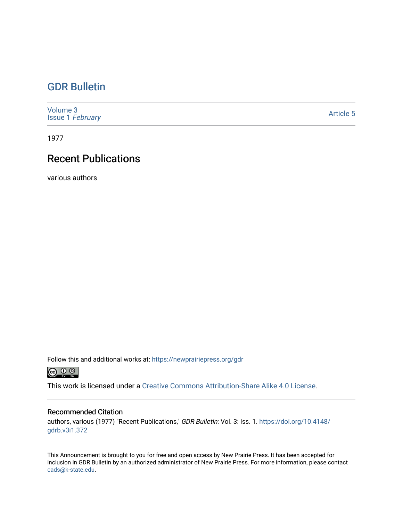## [GDR Bulletin](https://newprairiepress.org/gdr)

[Volume 3](https://newprairiepress.org/gdr/vol3) Issue 1 [February](https://newprairiepress.org/gdr/vol3/iss1) 

[Article 5](https://newprairiepress.org/gdr/vol3/iss1/5) 

1977

## Recent Publications

various authors

Follow this and additional works at: [https://newprairiepress.org/gdr](https://newprairiepress.org/gdr?utm_source=newprairiepress.org%2Fgdr%2Fvol3%2Fiss1%2F5&utm_medium=PDF&utm_campaign=PDFCoverPages) 



This work is licensed under a [Creative Commons Attribution-Share Alike 4.0 License.](https://creativecommons.org/licenses/by-sa/4.0/)

## Recommended Citation

authors, various (1977) "Recent Publications," GDR Bulletin: Vol. 3: Iss. 1. [https://doi.org/10.4148/](https://doi.org/10.4148/gdrb.v3i1.372) [gdrb.v3i1.372](https://doi.org/10.4148/gdrb.v3i1.372) 

This Announcement is brought to you for free and open access by New Prairie Press. It has been accepted for inclusion in GDR Bulletin by an authorized administrator of New Prairie Press. For more information, please contact [cads@k-state.edu.](mailto:cads@k-state.edu)